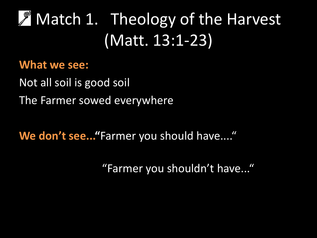## **A** Match 1. Theology of the Harvest (Matt. 13:1-23)

### **What we see:**

Not all soil is good soil The Farmer sowed everywhere

**We don't see..."**Farmer you should have...."

"Farmer you shouldn't have..."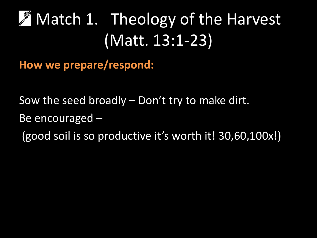### Match 1. Theology of the Harvest J (Matt. 13:1-23)

**How we prepare/respond:**

Sow the seed broadly – Don't try to make dirt.

Be encouraged –

(good soil is so productive it's worth it! 30,60,100x!)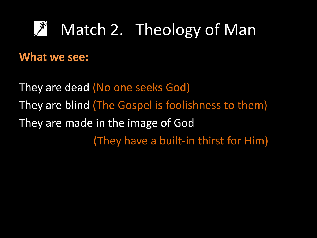#### Match 2. Theology of Man F

### **What we see:**

They are dead (No one seeks God) They are blind (The Gospel is foolishness to them) They are made in the image of God (They have a built-in thirst for Him)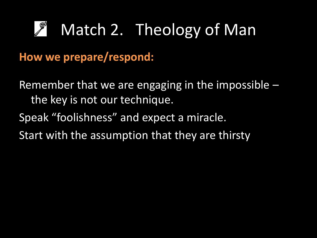#### F Match 2. Theology of Man

**How we prepare/respond:**

Remember that we are engaging in the impossible  $$ the key is not our technique. Speak "foolishness" and expect a miracle. Start with the assumption that they are thirsty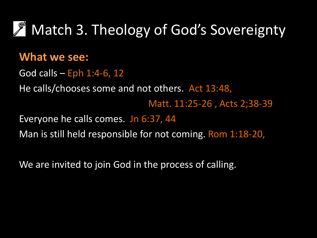

### **What we see:**

God calls  $-$  Eph 1:4-6, 12 He calls/chooses some and not others. Act 13:48, Matt. 11:25-26 , Acts 2;38-39 Everyone he calls comes. Jn 6:37, 44 Man is still held responsible for not coming. Rom 1:18-20,

We are invited to join God in the process of calling.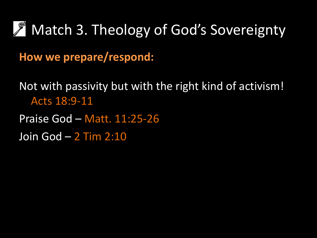

**How we prepare/respond:**

Not with passivity but with the right kind of activism! Acts 18:9-11

Praise God – Matt. 11:25-26

Join God – 2 Tim 2:10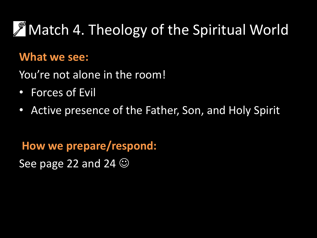## **A** Match 4. Theology of the Spiritual World

### **What we see:**

You're not alone in the room!

- Forces of Evil
- Active presence of the Father, Son, and Holy Spirit

**How we prepare/respond:** See page 22 and 24  $\odot$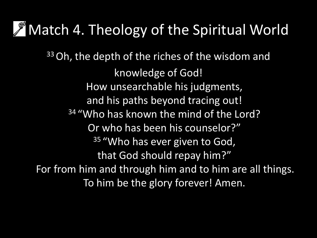## **Match 4. Theology of the Spiritual World**

<sup>33</sup> Oh, the depth of the riches of the wisdom and knowledge of God! How unsearchable his judgments, and his paths beyond tracing out! <sup>34</sup> "Who has known the mind of the Lord? Or who has been his counselor?" <sup>35</sup> "Who has ever given to God, that God should repay him?" For from him and through him and to him are all things. To him be the glory forever! Amen.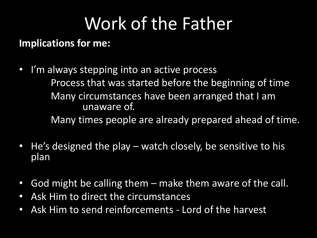# Work of the Father

### **Implications for me:**

- I'm always stepping into an active process Process that was started before the beginning of time Many circumstances have been arranged that I am unaware of. Many times people are already prepared ahead of time.
- He's designed the play watch closely, be sensitive to his plan
- God might be calling them make them aware of the call.
- Ask Him to direct the circumstances
- Ask Him to send reinforcements Lord of the harvest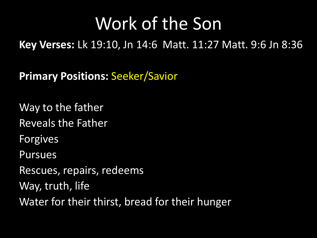## Work of the Son

**Key Verses: Lk 19:10, Jn 14:6 Matt. 11:27 Matt. 9:6 Jn 8:36** 

**Primary Positions:** Seeker/Savior

Way to the father

Reveals the Father

Forgives

Pursues

Rescues, repairs, redeems

Way, truth, life

Water for their thirst, bread for their hunger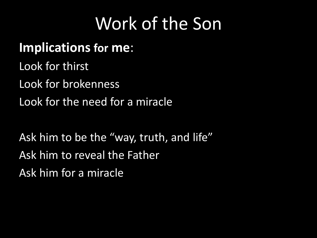## Work of the Son

### **Implications for me**:

Look for thirst

Look for brokenness

Look for the need for a miracle

Ask him to be the "way, truth, and life" Ask him to reveal the Father Ask him for a miracle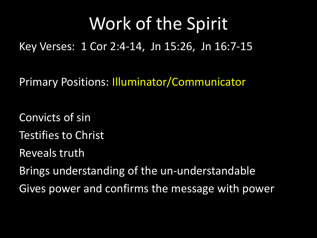## Work of the Spirit

Key Verses: 1 Cor 2:4-14, Jn 15:26, Jn 16:7-15

Primary Positions: Illuminator/Communicator

Convicts of sin

Testifies to Christ

Reveals truth

Brings understanding of the un-understandable

Gives power and confirms the message with power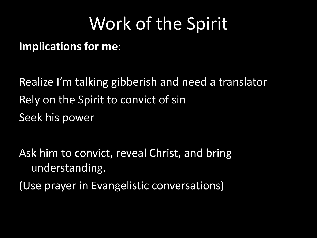## Work of the Spirit

**Implications for me**:

Realize I'm talking gibberish and need a translator Rely on the Spirit to convict of sin Seek his power

Ask him to convict, reveal Christ, and bring understanding.

(Use prayer in Evangelistic conversations)